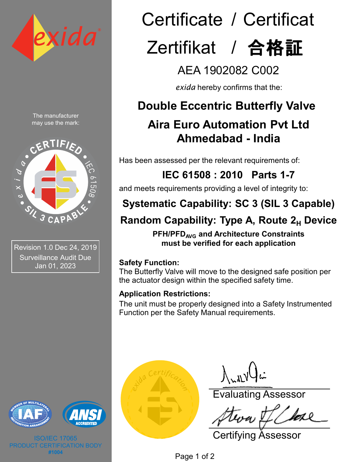

The manufacturer may use the mark:



Revision 1.0 Dec 24, 2019 Surveillance Audit Due Jan 01, 2023



ISO/IEC 17065 **CATION BODY #1004**

# Certificate / Certificat Zertifikat / 合格証

AEA 1902082 C002

*exida* hereby confirms that the:

## **Double Eccentric Butterfly Valve**

## **Aira Euro Automation Pvt Ltd Ahmedabad - India**

Has been assessed per the relevant requirements of:

# **IEC 61508 : 2010 Parts 1-7**

and meets requirements providing a level of integrity to:

## **Systematic Capability: SC 3 (SIL 3 Capable)**

## **Random Capability: Type A, Route 2<sub>H</sub> Device**

**PFH/PFDAVG and Architecture Constraints must be verified for each application**

#### **Safety Function:**

The Butterfly Valve will move to the designed safe position per the actuator design within the specified safety time.

### **Application Restrictions:**

The unit must be properly designed into a Safety Instrumented Function per the Safety Manual requirements.



 $\int_{\mathcal{M}} d\mathcal{N}$ 

Evaluating Assessor

Certifying Assessor

Page 1 of 2